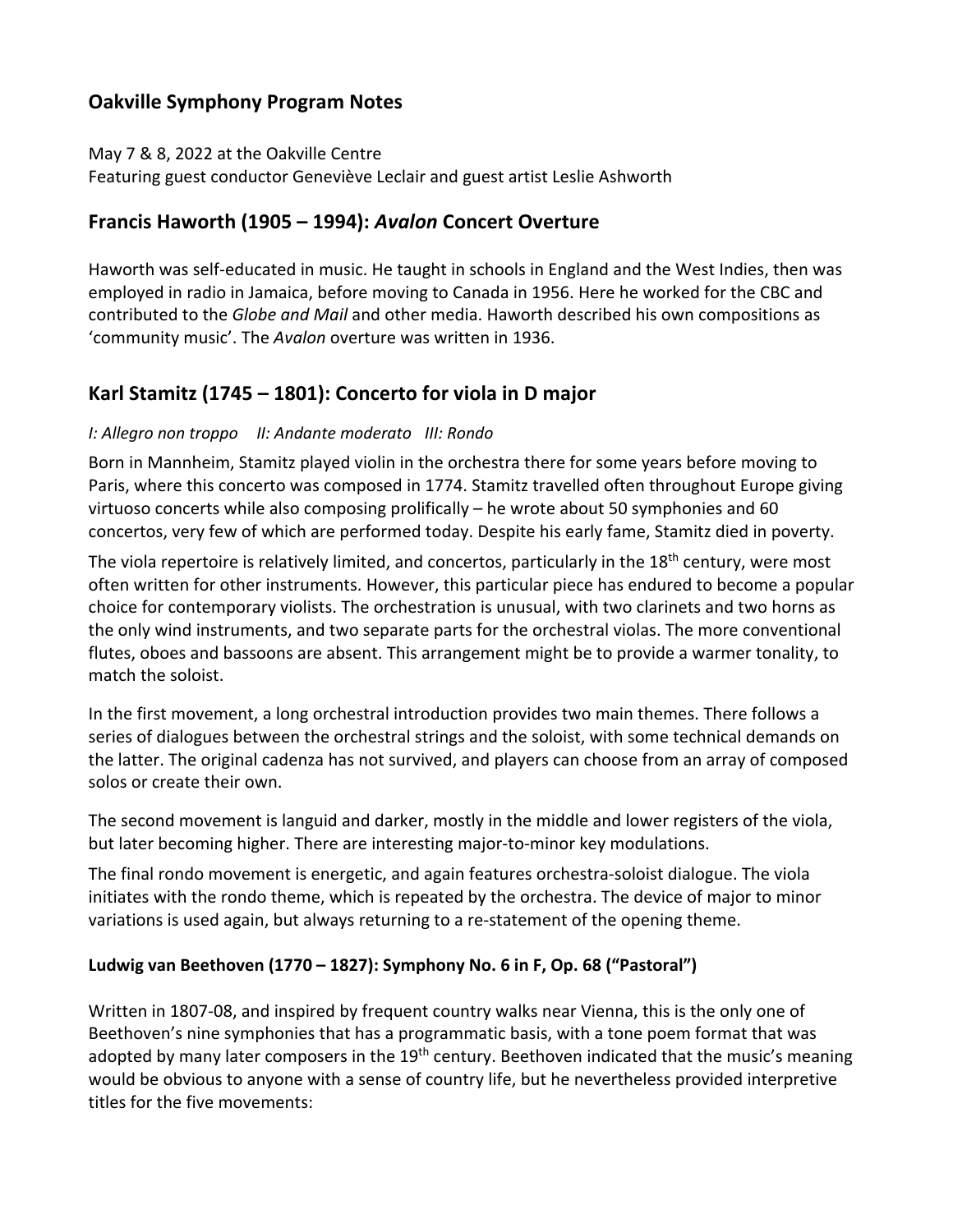# **Oakville Symphony Program Notes**

May 7 & 8, 2022 at the Oakville Centre

Featuring guest conductor Geneviève Leclair and guest artist Leslie Ashworth

### **Francis Haworth (1905 – 1994):** *Avalon* **Concert Overture**

Haworth was self-educated in music. He taught in schools in England and the West Indies, then was employed in radio in Jamaica, before moving to Canada in 1956. Here he worked for the CBC and contributed to the *Globe and Mail* and other media. Haworth described his own compositions as 'community music'. The *Avalon* overture was written in 1936.

# **Karl Stamitz (1745 – 1801): Concerto for viola in D major**

#### *I: Allegro non troppo II: Andante moderato III: Rondo*

Born in Mannheim, Stamitz played violin in the orchestra there for some years before moving to Paris, where this concerto was composed in 1774. Stamitz travelled often throughout Europe giving virtuoso concerts while also composing prolifically – he wrote about 50 symphonies and 60 concertos, very few of which are performed today. Despite his early fame, Stamitz died in poverty.

The viola repertoire is relatively limited, and concertos, particularly in the 18<sup>th</sup> century, were most often written for other instruments. However, this particular piece has endured to become a popular choice for contemporary violists. The orchestration is unusual, with two clarinets and two horns as the only wind instruments, and two separate parts for the orchestral violas. The more conventional flutes, oboes and bassoons are absent. This arrangement might be to provide a warmer tonality, to match the soloist.

In the first movement, a long orchestral introduction provides two main themes. There follows a series of dialogues between the orchestral strings and the soloist, with some technical demands on the latter. The original cadenza has not survived, and players can choose from an array of composed solos or create their own.

The second movement is languid and darker, mostly in the middle and lower registers of the viola, but later becoming higher. There are interesting major-to-minor key modulations.

The final rondo movement is energetic, and again features orchestra-soloist dialogue. The viola initiates with the rondo theme, which is repeated by the orchestra. The device of major to minor variations is used again, but always returning to a re-statement of the opening theme.

#### **Ludwig van Beethoven (1770 – 1827): Symphony No. 6 in F, Op. 68 ("Pastoral")**

Written in 1807-08, and inspired by frequent country walks near Vienna, this is the only one of Beethoven's nine symphonies that has a programmatic basis, with a tone poem format that was adopted by many later composers in the 19<sup>th</sup> century. Beethoven indicated that the music's meaning would be obvious to anyone with a sense of country life, but he nevertheless provided interpretive titles for the five movements: